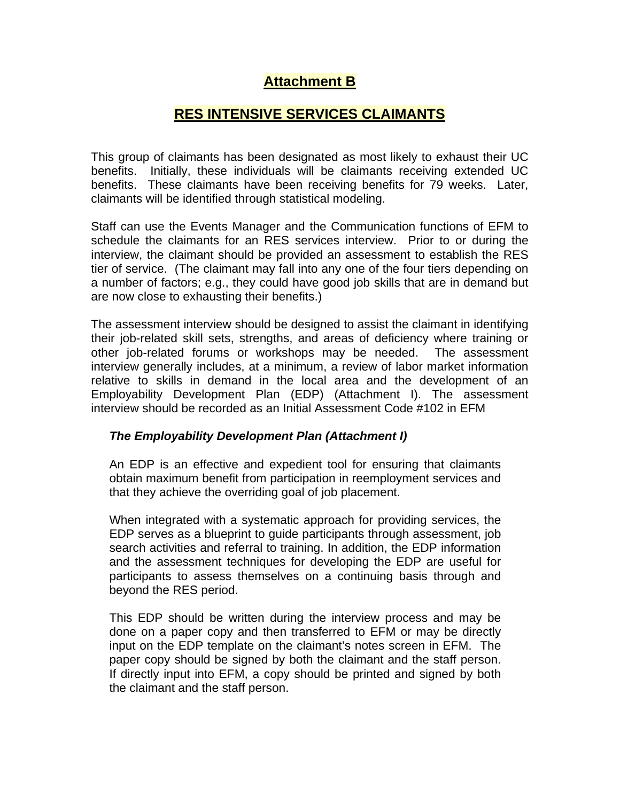# **Attachment B**

## **RES INTENSIVE SERVICES CLAIMANTS**

This group of claimants has been designated as most likely to exhaust their UC benefits. Initially, these individuals will be claimants receiving extended UC benefits. These claimants have been receiving benefits for 79 weeks. Later, claimants will be identified through statistical modeling.

Staff can use the Events Manager and the Communication functions of EFM to schedule the claimants for an RES services interview. Prior to or during the interview, the claimant should be provided an assessment to establish the RES tier of service. (The claimant may fall into any one of the four tiers depending on a number of factors; e.g., they could have good job skills that are in demand but are now close to exhausting their benefits.)

The assessment interview should be designed to assist the claimant in identifying their job-related skill sets, strengths, and areas of deficiency where training or other job-related forums or workshops may be needed. The assessment interview generally includes, at a minimum, a review of labor market information relative to skills in demand in the local area and the development of an Employability Development Plan (EDP) (Attachment I). The assessment interview should be recorded as an Initial Assessment Code #102 in EFM

#### *The Employability Development Plan (Attachment I)*

An EDP is an effective and expedient tool for ensuring that claimants obtain maximum benefit from participation in reemployment services and that they achieve the overriding goal of job placement.

When integrated with a systematic approach for providing services, the EDP serves as a blueprint to guide participants through assessment, job search activities and referral to training. In addition, the EDP information and the assessment techniques for developing the EDP are useful for participants to assess themselves on a continuing basis through and beyond the RES period.

This EDP should be written during the interview process and may be done on a paper copy and then transferred to EFM or may be directly input on the EDP template on the claimant's notes screen in EFM. The paper copy should be signed by both the claimant and the staff person. If directly input into EFM, a copy should be printed and signed by both the claimant and the staff person.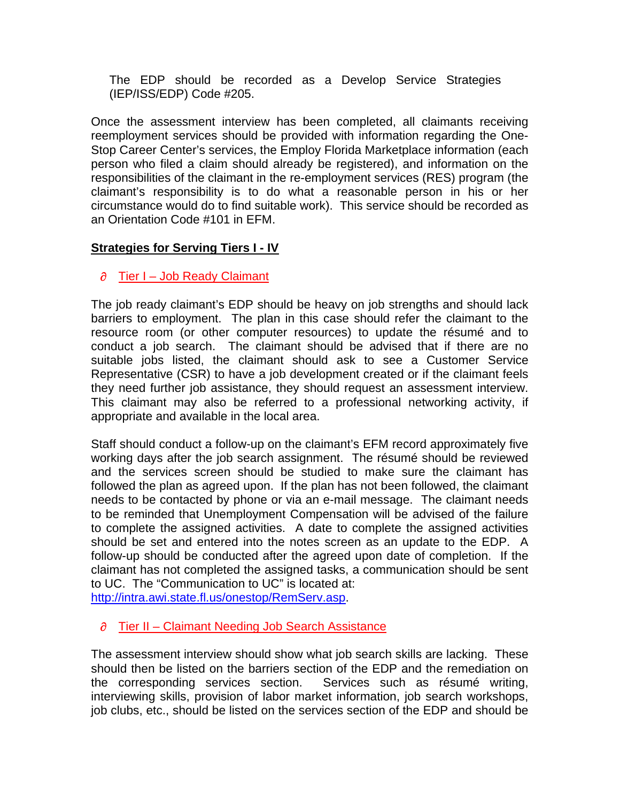The EDP should be recorded as a Develop Service Strategies (IEP/ISS/EDP) Code #205.

Once the assessment interview has been completed, all claimants receiving reemployment services should be provided with information regarding the One-Stop Career Center's services, the Employ Florida Marketplace information (each person who filed a claim should already be registered), and information on the responsibilities of the claimant in the re-employment services (RES) program (the claimant's responsibility is to do what a reasonable person in his or her circumstance would do to find suitable work). This service should be recorded as an Orientation Code #101 in EFM.

## **Strategies for Serving Tiers I - IV**

#### $\partial$  Tier I – Job Ready Claimant

The job ready claimant's EDP should be heavy on job strengths and should lack barriers to employment. The plan in this case should refer the claimant to the resource room (or other computer resources) to update the résumé and to conduct a job search. The claimant should be advised that if there are no suitable jobs listed, the claimant should ask to see a Customer Service Representative (CSR) to have a job development created or if the claimant feels they need further job assistance, they should request an assessment interview. This claimant may also be referred to a professional networking activity, if appropriate and available in the local area.

Staff should conduct a follow-up on the claimant's EFM record approximately five working days after the job search assignment. The résumé should be reviewed and the services screen should be studied to make sure the claimant has followed the plan as agreed upon. If the plan has not been followed, the claimant needs to be contacted by phone or via an e-mail message. The claimant needs to be reminded that Unemployment Compensation will be advised of the failure to complete the assigned activities. A date to complete the assigned activities should be set and entered into the notes screen as an update to the EDP. A follow-up should be conducted after the agreed upon date of completion. If the claimant has not completed the assigned tasks, a communication should be sent to UC. The "Communication to UC" is located at:

<http://intra.awi.state.fl.us/onestop/RemServ.asp>.

## $\partial$  Tier II – Claimant Needing Job Search Assistance

The assessment interview should show what job search skills are lacking. These should then be listed on the barriers section of the EDP and the remediation on the corresponding services section. Services such as résumé writing, interviewing skills, provision of labor market information, job search workshops, job clubs, etc., should be listed on the services section of the EDP and should be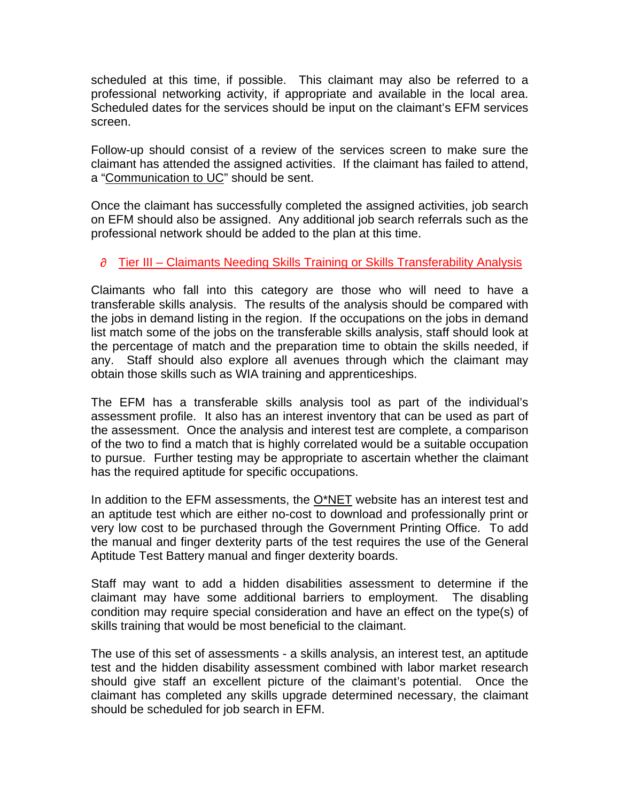scheduled at this time, if possible. This claimant may also be referred to a professional networking activity, if appropriate and available in the local area. Scheduled dates for the services should be input on the claimant's EFM services screen.

Follow-up should consist of a review of the services screen to make sure the claimant has attended the assigned activities. If the claimant has failed to attend, a ["Communication to UC](http://intra.awi.state.fl.us/onestop/RemServ.asp)" should be sent.

Once the claimant has successfully completed the assigned activities, job search on EFM should also be assigned. Any additional job search referrals such as the professional network should be added to the plan at this time.

## $\partial$  Tier III – Claimants Needing Skills Training or Skills Transferability Analysis

Claimants who fall into this category are those who will need to have a transferable skills analysis. The results of the analysis should be compared with the jobs in demand listing in the region. If the occupations on the jobs in demand list match some of the jobs on the transferable skills analysis, staff should look at the percentage of match and the preparation time to obtain the skills needed, if any. Staff should also explore all avenues through which the claimant may obtain those skills such as WIA training and apprenticeships.

The EFM has a transferable skills analysis tool as part of the individual's assessment profile. It also has an interest inventory that can be used as part of the assessment. Once the analysis and interest test are complete, a comparison of the two to find a match that is highly correlated would be a suitable occupation to pursue. Further testing may be appropriate to ascertain whether the claimant has the required aptitude for specific occupations.

In addition to the EFM assessments, the  $O^*NET$  website has an interest test and an aptitude test which are either no-cost to download and professionally print or very low cost to be purchased through the Government Printing Office. To add the manual and finger dexterity parts of the test requires the use of the General Aptitude Test Battery manual and finger dexterity boards.

Staff may want to add a hidden disabilities assessment to determine if the claimant may have some additional barriers to employment. The disabling condition may require special consideration and have an effect on the type(s) of skills training that would be most beneficial to the claimant.

The use of this set of assessments - a skills analysis, an interest test, an aptitude test and the hidden disability assessment combined with labor market research should give staff an excellent picture of the claimant's potential. Once the claimant has completed any skills upgrade determined necessary, the claimant should be scheduled for job search in EFM.